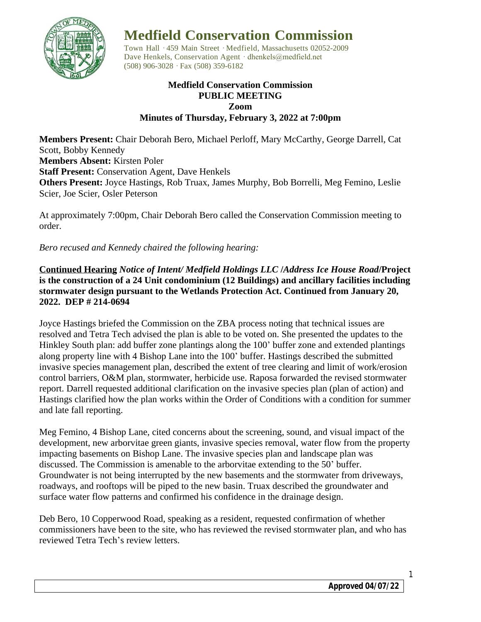

# **Medfield Conservation Commission**

Town Hall · 459 Main Street · Medfield, Massachusetts 02052-2009 Dave Henkels, Conservation Agent · dhenkels@medfield.net (508) 906-3028 ·Fax (508) 359-6182

## **Medfield Conservation Commission PUBLIC MEETING Zoom Minutes of Thursday, February 3, 2022 at 7:00pm**

**Members Present:** Chair Deborah Bero, Michael Perloff, Mary McCarthy, George Darrell, Cat Scott, Bobby Kennedy **Members Absent:** Kirsten Poler **Staff Present:** Conservation Agent, Dave Henkels **Others Present:** Joyce Hastings, Rob Truax, James Murphy, Bob Borrelli, Meg Femino, Leslie Scier, Joe Scier, Osler Peterson

At approximately 7:00pm, Chair Deborah Bero called the Conservation Commission meeting to order.

*Bero recused and Kennedy chaired the following hearing:*

**Continued Hearing** *Notice of Intent/ Medfield Holdings LLC* **/***Address Ice House Road***/Project is the construction of a 24 Unit condominium (12 Buildings) and ancillary facilities including stormwater design pursuant to the Wetlands Protection Act. Continued from January 20, 2022. DEP # 214-0694**

Joyce Hastings briefed the Commission on the ZBA process noting that technical issues are resolved and Tetra Tech advised the plan is able to be voted on. She presented the updates to the Hinkley South plan: add buffer zone plantings along the 100' buffer zone and extended plantings along property line with 4 Bishop Lane into the 100' buffer. Hastings described the submitted invasive species management plan, described the extent of tree clearing and limit of work/erosion control barriers, O&M plan, stormwater, herbicide use. Raposa forwarded the revised stormwater report. Darrell requested additional clarification on the invasive species plan (plan of action) and Hastings clarified how the plan works within the Order of Conditions with a condition for summer and late fall reporting.

Meg Femino, 4 Bishop Lane, cited concerns about the screening, sound, and visual impact of the development, new arborvitae green giants, invasive species removal, water flow from the property impacting basements on Bishop Lane. The invasive species plan and landscape plan was discussed. The Commission is amenable to the arborvitae extending to the 50' buffer. Groundwater is not being interrupted by the new basements and the stormwater from driveways, roadways, and rooftops will be piped to the new basin. Truax described the groundwater and surface water flow patterns and confirmed his confidence in the drainage design.

Deb Bero, 10 Copperwood Road, speaking as a resident, requested confirmation of whether commissioners have been to the site, who has reviewed the revised stormwater plan, and who has reviewed Tetra Tech's review letters.

1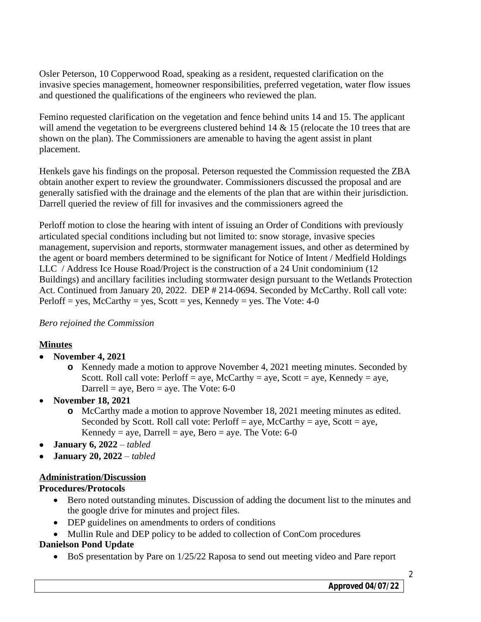Osler Peterson, 10 Copperwood Road, speaking as a resident, requested clarification on the invasive species management, homeowner responsibilities, preferred vegetation, water flow issues and questioned the qualifications of the engineers who reviewed the plan.

Femino requested clarification on the vegetation and fence behind units 14 and 15. The applicant will amend the vegetation to be evergreens clustered behind 14 & 15 (relocate the 10 trees that are shown on the plan). The Commissioners are amenable to having the agent assist in plant placement.

Henkels gave his findings on the proposal. Peterson requested the Commission requested the ZBA obtain another expert to review the groundwater. Commissioners discussed the proposal and are generally satisfied with the drainage and the elements of the plan that are within their jurisdiction. Darrell queried the review of fill for invasives and the commissioners agreed the

Perloff motion to close the hearing with intent of issuing an Order of Conditions with previously articulated special conditions including but not limited to: snow storage, invasive species management, supervision and reports, stormwater management issues, and other as determined by the agent or board members determined to be significant for Notice of Intent / Medfield Holdings LLC / Address Ice House Road/Project is the construction of a 24 Unit condominium (12 Buildings) and ancillary facilities including stormwater design pursuant to the Wetlands Protection Act. Continued from January 20, 2022. DEP # 214-0694. Seconded by McCarthy. Roll call vote: Perloff = yes,  $McCarthy = yes$ ,  $Scott = yes$ ,  $Kennedy = yes$ . The Vote: 4-0

## *Bero rejoined the Commission*

## **Minutes**

- **November 4, 2021**
	- **o** Kennedy made a motion to approve November 4, 2021 meeting minutes. Seconded by Scott. Roll call vote: Perloff = aye, McCarthy = aye, Scott = aye, Kennedy = aye, Darrell = aye, Bero = aye. The Vote:  $6-0$
- **November 18, 2021**
	- **o** McCarthy made a motion to approve November 18, 2021 meeting minutes as edited. Seconded by Scott. Roll call vote:  $Perloff = aye$ ,  $McCarthy = aye$ ,  $Scott = aye$ , Kennedy = aye, Darrell = aye, Bero = aye. The Vote:  $6-0$
- **January 6, 2022** *– tabled*
- **January 20, 2022** *– tabled*

# **Administration/Discussion**

# **Procedures/Protocols**

- Bero noted outstanding minutes. Discussion of adding the document list to the minutes and the google drive for minutes and project files.
- DEP guidelines on amendments to orders of conditions
- Mullin Rule and DEP policy to be added to collection of ConCom procedures

## **Danielson Pond Update**

BoS presentation by Pare on 1/25/22 Raposa to send out meeting video and Pare report